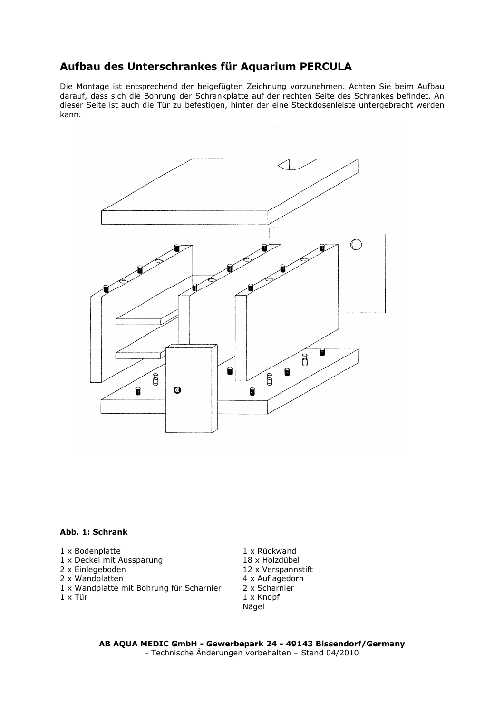## Aufbau des Unterschrankes für Aquarium PERCULA

Die Montage ist entsprechend der beigefügten Zeichnung vorzunehmen. Achten Sie beim Aufbau darauf, dass sich die Bohrung der Schrankplatte auf der rechten Seite des Schrankes befindet. An dieser Seite ist auch die Tür zu befestigen, hinter der eine Steckdosenleiste untergebracht werden kann.



## Abb. 1: Schrank

- 1 x Bodenplatte
- 1 x Deckel mit Aussparung
- 2 x Einlegeboden
- 2 x Wandplatten
- 1 x Wandplatte mit Bohrung für Scharnier
- 1 x Tür

1 x Rückwand 18 x Holzdübel 12 x Verspannstift 4 x Auflagedorn 2 x Scharnier 1 x Knopf Nägel

AB AQUA MEDIC GmbH - Gewerbepark 24 - 49143 Bissendorf/Germany - Technische Änderungen vorbehalten – Stand 04/2010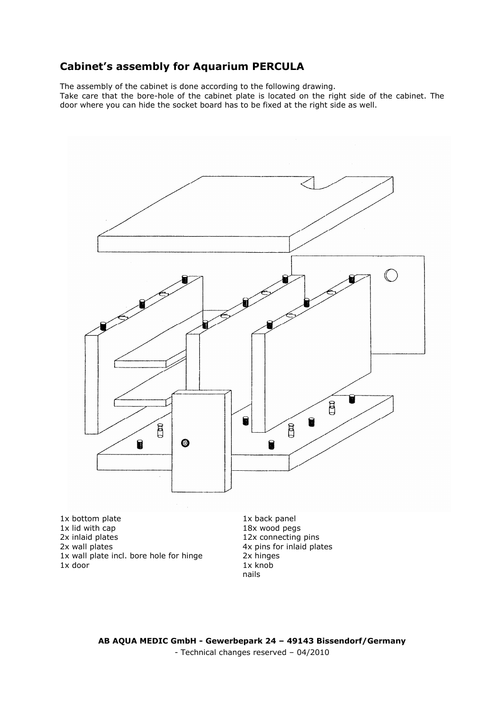## Cabinet's assembly for Aquarium PERCULA

The assembly of the cabinet is done according to the following drawing. Take care that the bore-hole of the cabinet plate is located on the right side of the cabinet. The door where you can hide the socket board has to be fixed at the right side as well.



1x bottom plate 1x lid with cap 2x inlaid plates 2x wall plates 1x wall plate incl. bore hole for hinge 1x door

1x back panel 18x wood pegs 12x connecting pins 4x pins for inlaid plates 2x hinges  $1x$  knob nails

AB AQUA MEDIC GmbH - Gewerbepark 24 – 49143 Bissendorf/Germany - Technical changes reserved – 04/2010